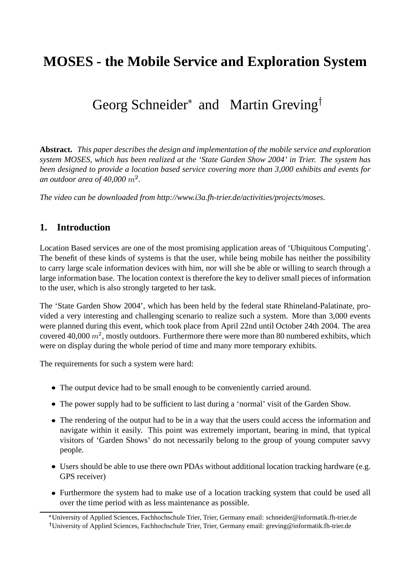# **MOSES - the Mobile Service and Exploration System**

# Georg Schneider<sup>\*</sup> and Martin Greving<sup>†</sup>

**Abstract.** *This paper describes the design and implementation of the mobile service and exploration system MOSES, which has been realized at the 'State Garden Show 2004' in Trier. The system has been designed to provide a location based service covering more than 3,000 exhibits and events for* an outdoor area of 40,000  $m^2$ .

*The video can be downloaded from http://www.i3a.fh-trier.de/activities/projects/moses.*

## **1. Introduction**

Location Based services are one of the most promising application areas of 'Ubiquitous Computing'. The benefit of these kinds of systems is that the user, while being mobile has neither the possibility to carry large scale information devices with him, nor will she be able or willing to search through a large information base. The location context is therefore the key to deliver small pieces of information to the user, which is also strongly targeted to her task.

The 'State Garden Show 2004', which has been held by the federal state Rhineland-Palatinate, provided a very interesting and challenging scenario to realize such a system. More than 3,000 events were planned during this event, which took place from April 22nd until October 24th 2004. The area covered 40,000  $m^2$ , mostly outdoors. Furthermore there were more than 80 numbered exhibits, which were on display during the whole period of time and many more temporary exhibits.

The requirements for such a system were hard:

- The output device had to be small enough to be conveniently carried around.
- The power supply had to be sufficient to last during a 'normal' visit of the Garden Show.
- The rendering of the output had to be in a way that the users could access the information and navigate within it easily. This point was extremely important, bearing in mind, that typical visitors of 'Garden Shows' do not necessarily belong to the group of young computer savvy people.
- Users should be able to use there own PDAs without additional location tracking hardware (e.g. GPS receiver)
- Furthermore the system had to make use of a location tracking system that could be used all over the time period with as less maintenance as possible.

University of Applied Sciences, Fachhochschule Trier, Trier, Germany email: schneider@informatik.fh-trier.de University of Applied Sciences, Fachhochschule Trier, Trier, Germany email: greving@informatik.fh-trier.de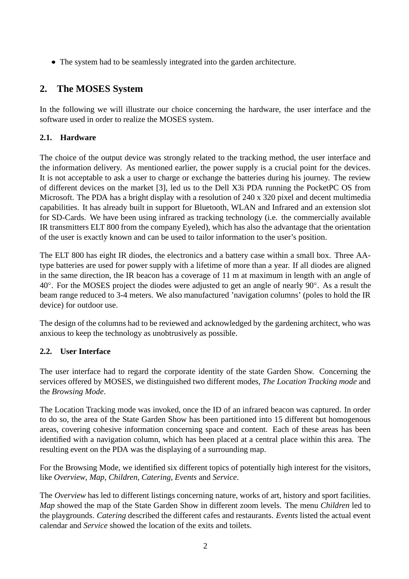The system had to be seamlessly integrated into the garden architecture.

# **2. The MOSES System**

In the following we will illustrate our choice concerning the hardware, the user interface and the software used in order to realize the MOSES system.

## **2.1. Hardware**

The choice of the output device was strongly related to the tracking method, the user interface and the information delivery. As mentioned earlier, the power supply is a crucial point for the devices. It is not acceptable to ask a user to charge or exchange the batteries during his journey. The review of different devices on the market [3], led us to the Dell X3i PDA running the PocketPC OS from Microsoft. The PDA has a bright display with a resolution of 240 x 320 pixel and decent multimedia capabilities. It has already built in support for Bluetooth, WLAN and Infrared and an extension slot for SD-Cards. We have been using infrared as tracking technology (i.e. the commercially available IR transmitters ELT 800 from the company Eyeled), which has also the advantage that the orientation of the user is exactly known and can be used to tailor information to the user's position.

The ELT 800 has eight IR diodes, the electronics and a battery case within a small box. Three AAtype batteries are used for power supply with a lifetime of more than a year. If all diodes are aligned in the same direction, the IR beacon has a coverage of 11 m at maximum in length with an angle of  $40^\circ$ . For the MOSES project the diodes were adjusted to get an angle of nearly  $90^\circ$ . As a result the beam range reduced to 3-4 meters. We also manufactured 'navigation columns' (poles to hold the IR device) for outdoor use.

The design of the columns had to be reviewed and acknowledged by the gardening architect, who was anxious to keep the technology as unobtrusively as possible.

## **2.2. User Interface**

The user interface had to regard the corporate identity of the state Garden Show. Concerning the services offered by MOSES, we distinguished two different modes, *The Location Tracking mode* and the *Browsing Mode*.

The Location Tracking mode was invoked, once the ID of an infrared beacon was captured. In order to do so, the area of the State Garden Show has been partitioned into 15 different but homogenous areas, covering cohesive information concerning space and content. Each of these areas has been identified with a navigation column, which has been placed at a central place within this area. The resulting event on the PDA was the displaying of a surrounding map.

For the Browsing Mode, we identified six different topics of potentially high interest for the visitors, like *Overview*, *Map*, *Children*, *Catering*, *Events* and *Service*.

The *Overview* has led to different listings concerning nature, works of art, history and sport facilities. *Map* showed the map of the State Garden Show in different zoom levels. The menu *Children* led to the playgrounds. *Catering* described the different cafes and restaurants. *Events* listed the actual event calendar and *Service* showed the location of the exits and toilets.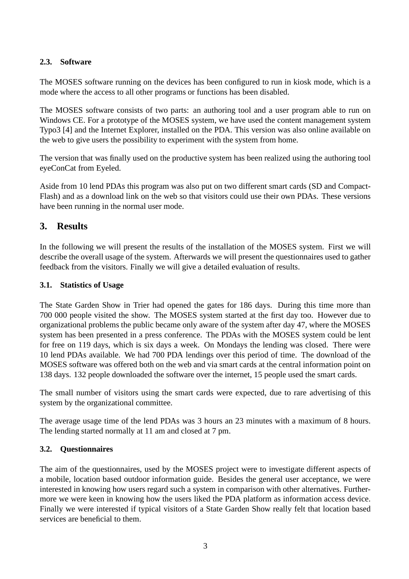## **2.3. Software**

The MOSES software running on the devices has been configured to run in kiosk mode, which is a mode where the access to all other programs or functions has been disabled.

The MOSES software consists of two parts: an authoring tool and a user program able to run on Windows CE. For a prototype of the MOSES system, we have used the content management system Typo3 [4] and the Internet Explorer, installed on the PDA. This version was also online available on the web to give users the possibility to experiment with the system from home.

The version that was finally used on the productive system has been realized using the authoring tool eyeConCat from Eyeled.

Aside from 10 lend PDAs this program was also put on two different smart cards (SD and Compact-Flash) and as a download link on the web so that visitors could use their own PDAs. These versions have been running in the normal user mode.

## **3. Results**

In the following we will present the results of the installation of the MOSES system. First we will describe the overall usage of the system. Afterwards we will present the questionnaires used to gather feedback from the visitors. Finally we will give a detailed evaluation of results.

#### **3.1. Statistics of Usage**

The State Garden Show in Trier had opened the gates for 186 days. During this time more than 700 000 people visited the show. The MOSES system started at the first day too. However due to organizational problems the public became only aware of the system after day 47, where the MOSES system has been presented in a press conference. The PDAs with the MOSES system could be lent for free on 119 days, which is six days a week. On Mondays the lending was closed. There were 10 lend PDAs available. We had 700 PDA lendings over this period of time. The download of the MOSES software was offered both on the web and via smart cards at the central information point on 138 days. 132 people downloaded the software over the internet, 15 people used the smart cards.

The small number of visitors using the smart cards were expected, due to rare advertising of this system by the organizational committee.

The average usage time of the lend PDAs was 3 hours an 23 minutes with a maximum of 8 hours. The lending started normally at 11 am and closed at 7 pm.

#### **3.2. Questionnaires**

The aim of the questionnaires, used by the MOSES project were to investigate different aspects of a mobile, location based outdoor information guide. Besides the general user acceptance, we were interested in knowing how users regard such a system in comparison with other alternatives. Furthermore we were keen in knowing how the users liked the PDA platform as information access device. Finally we were interested if typical visitors of a State Garden Show really felt that location based services are beneficial to them.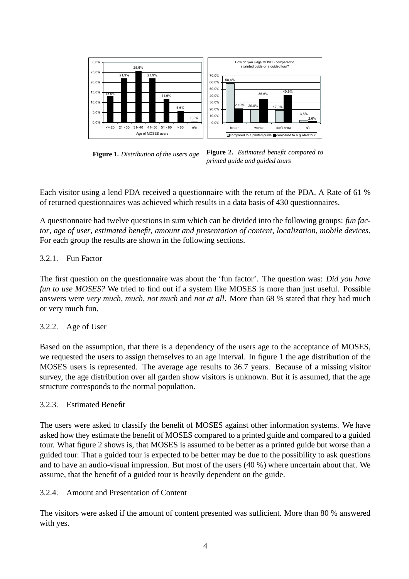

**Figure 1.** *Distribution of the users age*

**Figure 2.** *Estimated benefit compared to printed guide and guided tours*

Each visitor using a lend PDA received a questionnaire with the return of the PDA. A Rate of 61 % of returned questionnaires was achieved which results in a data basis of 430 questionnaires.

A questionnaire had twelve questions in sum which can be divided into the following groups: *fun factor*, *age of user*, *estimated benefit*, *amount and presentation of content*, *localization*, *mobile devices*. For each group the results are shown in the following sections.

### 3.2.1. Fun Factor

The first question on the questionnaire was about the 'fun factor'. The question was: *Did you have fun to use MOSES?* We tried to find out if a system like MOSES is more than just useful. Possible answers were *very much*, *much*, *not much* and *not at all*. More than 68 % stated that they had much or very much fun.

#### 3.2.2. Age of User

Based on the assumption, that there is a dependency of the users age to the acceptance of MOSES, we requested the users to assign themselves to an age interval. In figure 1 the age distribution of the MOSES users is represented. The average age results to 36.7 years. Because of a missing visitor survey, the age distribution over all garden show visitors is unknown. But it is assumed, that the age structure corresponds to the normal population.

#### 3.2.3. Estimated Benefit

The users were asked to classify the benefit of MOSES against other information systems. We have asked how they estimate the benefit of MOSES compared to a printed guide and compared to a guided tour. What figure 2 shows is, that MOSES is assumed to be better as a printed guide but worse than a guided tour. That a guided tour is expected to be better may be due to the possibility to ask questions and to have an audio-visual impression. But most of the users (40 %) where uncertain about that. We assume, that the benefit of a guided tour is heavily dependent on the guide.

#### 3.2.4. Amount and Presentation of Content

The visitors were asked if the amount of content presented was sufficient. More than 80 % answered with yes.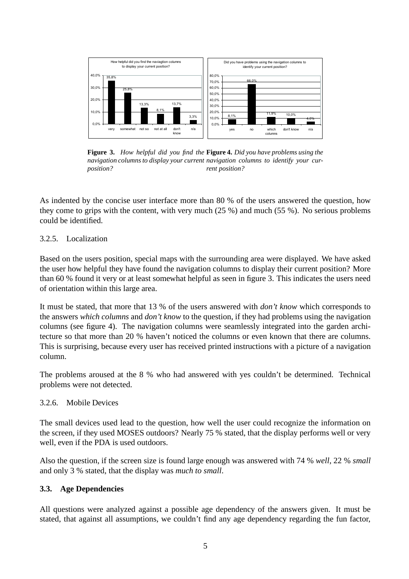

**Figure 3.** *How helpful did you find the* **Figure 4.** *Did you have problems using the navigation columns to display your current navigation columns to identify your curposition? rent position?*

As indented by the concise user interface more than 80 % of the users answered the question, how they come to grips with the content, with very much (25 %) and much (55 %). No serious problems could be identified.

#### 3.2.5. Localization

Based on the users position, special maps with the surrounding area were displayed. We have asked the user how helpful they have found the navigation columns to display their current position? More than 60 % found it very or at least somewhat helpful as seen in figure 3. This indicates the users need of orientation within this large area.

It must be stated, that more that 13 % of the users answered with *don't know* which corresponds to the answers *which columns* and *don't know* to the question, if they had problems using the navigation columns (see figure 4). The navigation columns were seamlessly integrated into the garden architecture so that more than 20 % haven't noticed the columns or even known that there are columns. This is surprising, because every user has received printed instructions with a picture of a navigation column.

The problems aroused at the 8 % who had answered with yes couldn't be determined. Technical problems were not detected.

#### 3.2.6. Mobile Devices

The small devices used lead to the question, how well the user could recognize the information on the screen, if they used MOSES outdoors? Nearly 75 % stated, that the display performs well or very well, even if the PDA is used outdoors.

Also the question, if the screen size is found large enough was answered with 74 % *well*, 22 % *small* and only 3 % stated, that the display was *much to small*.

#### **3.3. Age Dependencies**

All questions were analyzed against a possible age dependency of the answers given. It must be stated, that against all assumptions, we couldn't find any age dependency regarding the fun factor,